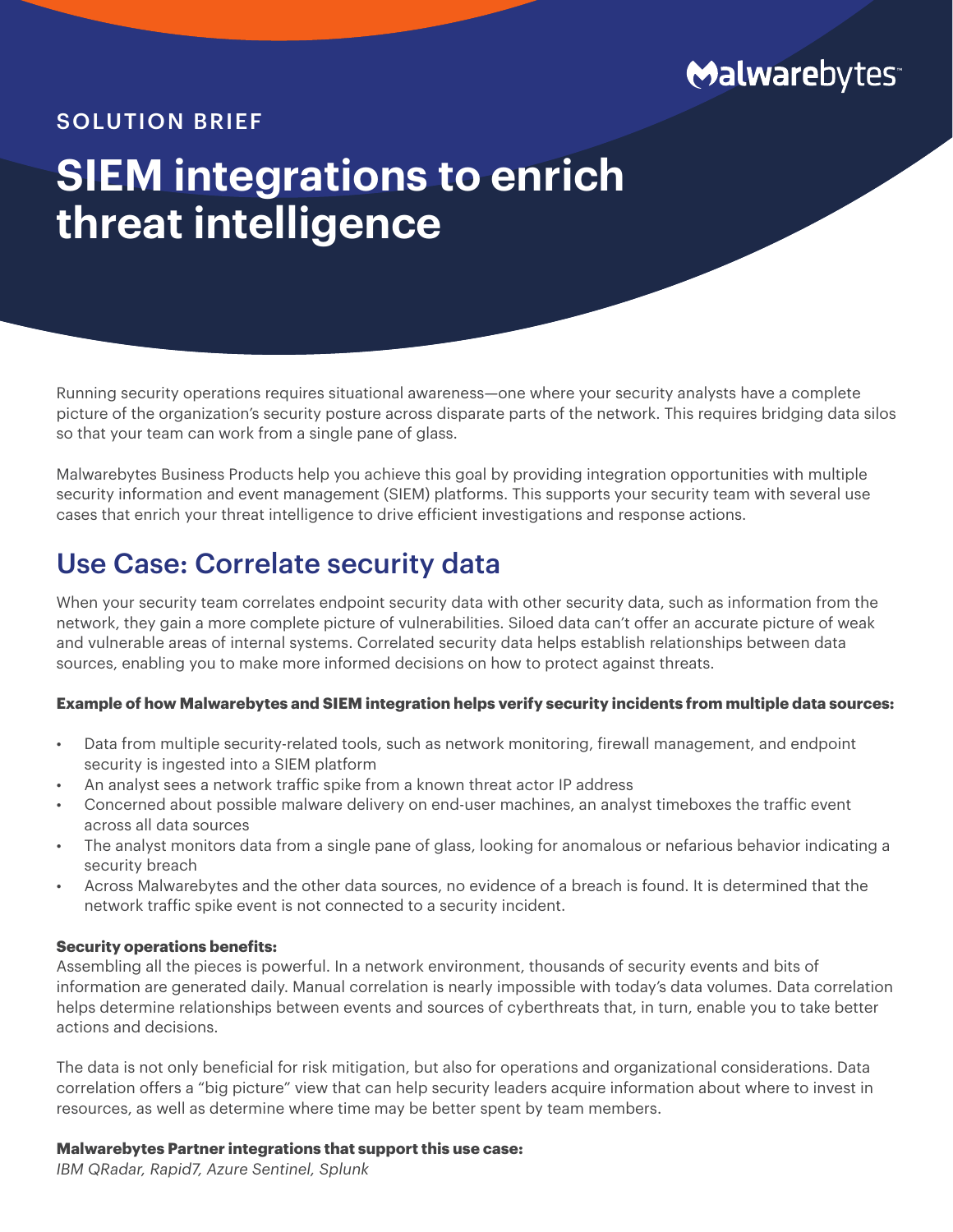

### SOLUTION BRIEF

# **SIEM integrations to enrich threat intelligence**

Running security operations requires situational awareness—one where your security analysts have a complete picture of the organization's security posture across disparate parts of the network. This requires bridging data silos so that your team can work from a single pane of glass.

Malwarebytes Business Products help you achieve this goal by providing integration opportunities with multiple security information and event management (SIEM) platforms. This supports your security team with several use cases that enrich your threat intelligence to drive efficient investigations and response actions.

### Use Case: Correlate security data

When your security team correlates endpoint security data with other security data, such as information from the network, they gain a more complete picture of vulnerabilities. Siloed data can't offer an accurate picture of weak and vulnerable areas of internal systems. Correlated security data helps establish relationships between data sources, enabling you to make more informed decisions on how to protect against threats.

### **Example of how Malwarebytes and SIEM integration helps verify security incidents from multiple data sources:**

- Data from multiple security-related tools, such as network monitoring, firewall management, and endpoint security is ingested into a SIEM platform
- An analyst sees a network traffic spike from a known threat actor IP address
- Concerned about possible malware delivery on end-user machines, an analyst timeboxes the traffic event across all data sources
- The analyst monitors data from a single pane of glass, looking for anomalous or nefarious behavior indicating a security breach
- Across Malwarebytes and the other data sources, no evidence of a breach is found. It is determined that the network traffic spike event is not connected to a security incident.

#### **Security operations benefits:**

Assembling all the pieces is powerful. In a network environment, thousands of security events and bits of information are generated daily. Manual correlation is nearly impossible with today's data volumes. Data correlation helps determine relationships between events and sources of cyberthreats that, in turn, enable you to take better actions and decisions.

The data is not only beneficial for risk mitigation, but also for operations and organizational considerations. Data correlation offers a "big picture" view that can help security leaders acquire information about where to invest in resources, as well as determine where time may be better spent by team members.

### **Malwarebytes Partner integrations that support this use case:**

*IBM QRadar, Rapid7, Azure Sentinel, Splunk*